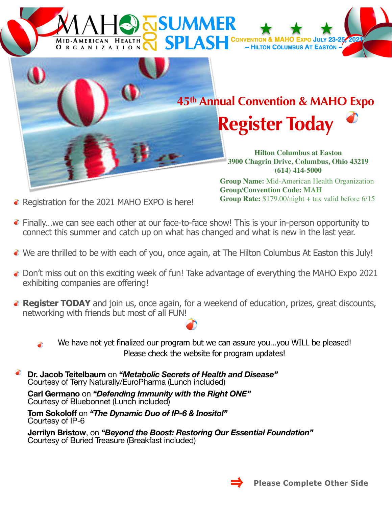## **JSUMMER SPLASH CONVENTION** MID-AMERICAN O Expo JULY 23-**HEALTH** ~ HILTON COLUMBUS AT EASTON ~ **ORGANIZATION**



**Group Rate:** \$179.00/night + tax valid before 6/15

- Registration for the 2021 MAHO EXPO is here!
- Finally…we can see each other at our face-to-face show! This is your in-person opportunity to connect this summer and catch up on what has changed and what is new in the last year.
- We are thrilled to be with each of you, once again, at The Hilton Columbus At Easton this July!
- $\bullet$  Don't miss out on this exciting week of fun! Take advantage of everything the MAHO Expo 2021 exhibiting companies are offering!
- **Register TODAY** and join us, once again, for a weekend of education, prizes, great discounts, networking with friends but most of all FUN!
	- We have not yet finalized our program but we can assure you...you WILL be pleased! ð Please check the website for program updates!
	- **Dr. Jacob Teitelbaum** on *"Metabolic Secrets of Health and Disease"* Courtesy of Terry Naturally/EuroPharma (Lunch included)

**Carl Germano** on *"Defending Immunity with the Right ONE"* Courtesy of Bluebonnet (Lunch included)

**Tom Sokoloff** on *"The Dynamic Duo of IP-6 & Inositol"*  Courtesy of IP-6

**Jerrilyn Bristow**, on *"Beyond the Boost: Restoring Our Essential Foundation"* Courtesy of Buried Treasure (Breakfast included)